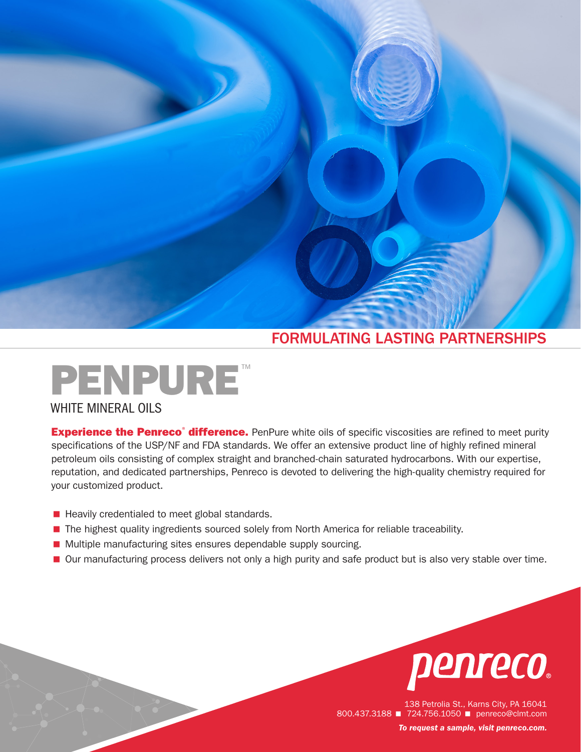# FORMULATING LASTING PARTNERSHIPS



**Experience the Penreco<sup>®</sup> difference.** PenPure white oils of specific viscosities are refined to meet purity specifications of the USP/NF and FDA standards. We offer an extensive product line of highly refined mineral petroleum oils consisting of complex straight and branched-chain saturated hydrocarbons. With our expertise, reputation, and dedicated partnerships, Penreco is devoted to delivering the high-quality chemistry required for your customized product.

- Heavily credentialed to meet global standards.
- **The highest quality ingredients sourced solely from North America for reliable traceability.**
- Multiple manufacturing sites ensures dependable supply sourcing.
- Our manufacturing process delivers not only a high purity and safe product but is also very stable over time.



138 Petrolia St., Karns City, PA 16041 800.437.3188 **■ 724.756.1050 ■ penreco@clmt.com** *To request a sample, visit [penreco.com](http://penreco.com/).*